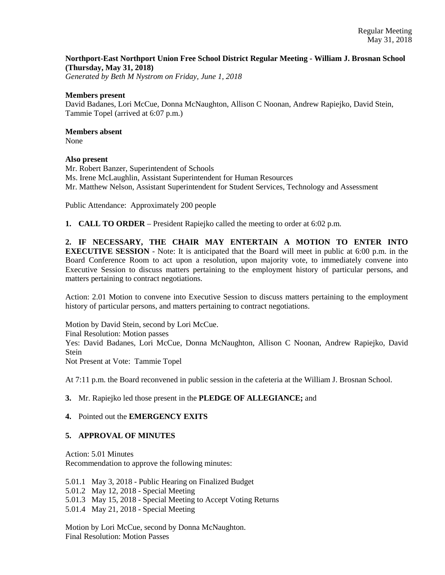## **Northport-East Northport Union Free School District Regular Meeting - William J. Brosnan School (Thursday, May 31, 2018)**

*Generated by Beth M Nystrom on Friday, June 1, 2018*

### **Members present**

David Badanes, Lori McCue, Donna McNaughton, Allison C Noonan, Andrew Rapiejko, David Stein, Tammie Topel (arrived at 6:07 p.m.)

## **Members absent**

None

### **Also present**

Mr. Robert Banzer, Superintendent of Schools Ms. Irene McLaughlin, Assistant Superintendent for Human Resources Mr. Matthew Nelson, Assistant Superintendent for Student Services, Technology and Assessment

Public Attendance: Approximately 200 people

**1. CALL TO ORDER** – President Rapiejko called the meeting to order at 6:02 p.m.

**2. IF NECESSARY, THE CHAIR MAY ENTERTAIN A MOTION TO ENTER INTO EXECUTIVE SESSION** - Note: It is anticipated that the Board will meet in public at 6:00 p.m. in the Board Conference Room to act upon a resolution, upon majority vote, to immediately convene into Executive Session to discuss matters pertaining to the employment history of particular persons, and matters pertaining to contract negotiations.

Action: 2.01 Motion to convene into Executive Session to discuss matters pertaining to the employment history of particular persons, and matters pertaining to contract negotiations.

Motion by David Stein, second by Lori McCue. Final Resolution: Motion passes

Yes: David Badanes, Lori McCue, Donna McNaughton, Allison C Noonan, Andrew Rapiejko, David Stein

Not Present at Vote: Tammie Topel

At 7:11 p.m. the Board reconvened in public session in the cafeteria at the William J. Brosnan School.

## **3.** Mr. Rapiejko led those present in the **PLEDGE OF ALLEGIANCE;** and

## **4.** Pointed out the **EMERGENCY EXITS**

# **5. APPROVAL OF MINUTES**

Action: 5.01 Minutes Recommendation to approve the following minutes:

5.01.1 May 3, 2018 - Public Hearing on Finalized Budget

5.01.2 May 12, 2018 - Special Meeting

5.01.3 May 15, 2018 - Special Meeting to Accept Voting Returns

5.01.4 May 21, 2018 - Special Meeting

Motion by Lori McCue, second by Donna McNaughton. Final Resolution: Motion Passes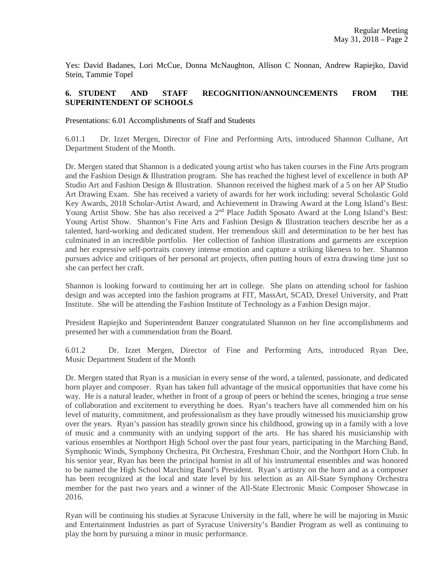Yes: David Badanes, Lori McCue, Donna McNaughton, Allison C Noonan, Andrew Rapiejko, David Stein, Tammie Topel

## **6. STUDENT AND STAFF RECOGNITION/ANNOUNCEMENTS FROM THE SUPERINTENDENT OF SCHOOLS**

Presentations: 6.01 Accomplishments of Staff and Students

6.01.1 Dr. Izzet Mergen, Director of Fine and Performing Arts, introduced Shannon Culhane, Art Department Student of the Month.

Dr. Mergen stated that Shannon is a dedicated young artist who has taken courses in the Fine Arts program and the Fashion Design & Illustration program. She has reached the highest level of excellence in both AP Studio Art and Fashion Design & Illustration. Shannon received the highest mark of a 5 on her AP Studio Art Drawing Exam. She has received a variety of awards for her work including: several Scholastic Gold Key Awards, 2018 Scholar-Artist Award, and Achievement in Drawing Award at the Long Island's Best: Young Artist Show. She has also received a  $2<sup>nd</sup>$  Place Judith Sposato Award at the Long Island's Best: Young Artist Show. Shannon's Fine Arts and Fashion Design & Illustration teachers describe her as a talented, hard-working and dedicated student. Her tremendous skill and determination to be her best has culminated in an incredible portfolio. Her collection of fashion illustrations and garments are exception and her expressive self-portraits convey intense emotion and capture a striking likeness to her. Shannon pursues advice and critiques of her personal art projects, often putting hours of extra drawing time just so she can perfect her craft.

Shannon is looking forward to continuing her art in college. She plans on attending school for fashion design and was accepted into the fashion programs at FIT, MassArt, SCAD, Drexel University, and Pratt Institute. She will be attending the Fashion Institute of Technology as a Fashion Design major.

President Rapiejko and Superintendent Banzer congratulated Shannon on her fine accomplishments and presented her with a commendation from the Board.

6.01.2 Dr. Izzet Mergen, Director of Fine and Performing Arts, introduced Ryan Dee, Music Department Student of the Month

Dr. Mergen stated that Ryan is a musician in every sense of the word, a talented, passionate, and dedicated horn player and composer. Ryan has taken full advantage of the musical opportunities that have come his way. He is a natural leader, whether in front of a group of peers or behind the scenes, bringing a true sense of collaboration and excitement to everything he does. Ryan's teachers have all commended him on his level of maturity, commitment, and professionalism as they have proudly witnessed his musicianship grow over the years. Ryan's passion has steadily grown since his childhood, growing up in a family with a love of music and a community with an undying support of the arts. He has shared his musicianship with various ensembles at Northport High School over the past four years, participating in the Marching Band, Symphonic Winds, Symphony Orchestra, Pit Orchestra, Freshman Choir, and the Northport Horn Club. In his senior year, Ryan has been the principal hornist in all of his instrumental ensembles and was honored to be named the High School Marching Band's President. Ryan's artistry on the horn and as a composer has been recognized at the local and state level by his selection as an All-State Symphony Orchestra member for the past two years and a winner of the All-State Electronic Music Composer Showcase in 2016.

Ryan will be continuing his studies at Syracuse University in the fall, where he will be majoring in Music and Entertainment Industries as part of Syracuse University's Bandier Program as well as continuing to play the horn by pursuing a minor in music performance.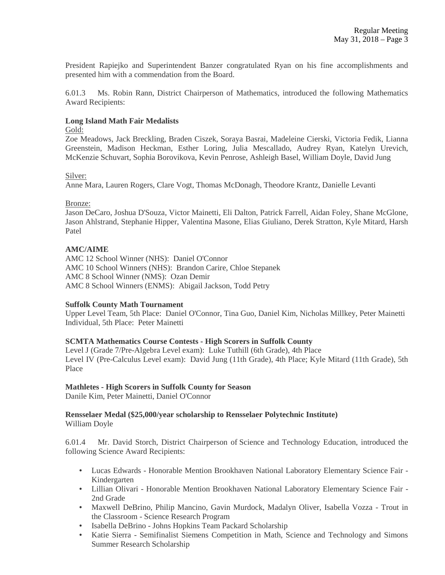President Rapiejko and Superintendent Banzer congratulated Ryan on his fine accomplishments and presented him with a commendation from the Board.

6.01.3 Ms. Robin Rann, District Chairperson of Mathematics, introduced the following Mathematics Award Recipients:

### **Long Island Math Fair Medalists**

#### Gold:

Zoe Meadows, Jack Breckling, Braden Ciszek, Soraya Basrai, Madeleine Cierski, Victoria Fedik, Lianna Greenstein, Madison Heckman, Esther Loring, Julia Mescallado, Audrey Ryan, Katelyn Urevich, McKenzie Schuvart, Sophia Borovikova, Kevin Penrose, Ashleigh Basel, William Doyle, David Jung

### Silver:

Anne Mara, Lauren Rogers, Clare Vogt, Thomas McDonagh, Theodore Krantz, Danielle Levanti

### Bronze:

Jason DeCaro, Joshua D'Souza, Victor Mainetti, Eli Dalton, Patrick Farrell, Aidan Foley, Shane McGlone, Jason Ahlstrand, Stephanie Hipper, Valentina Masone, Elias Giuliano, Derek Stratton, Kyle Mitard, Harsh Patel

## **AMC/AIME**

AMC 12 School Winner (NHS): Daniel O'Connor AMC 10 School Winners (NHS): Brandon Carire, Chloe Stepanek AMC 8 School Winner (NMS): Ozan Demir AMC 8 School Winners (ENMS): Abigail Jackson, Todd Petry

## **Suffolk County Math Tournament**

Upper Level Team, 5th Place: Daniel O'Connor, Tina Guo, Daniel Kim, Nicholas Millkey, Peter Mainetti Individual, 5th Place: Peter Mainetti

## **SCMTA Mathematics Course Contests - High Scorers in Suffolk County**

Level J (Grade 7/Pre-Algebra Level exam): Luke Tuthill (6th Grade), 4th Place Level IV (Pre-Calculus Level exam): David Jung (11th Grade), 4th Place; Kyle Mitard (11th Grade), 5th Place

## **Mathletes - High Scorers in Suffolk County for Season**

Danile Kim, Peter Mainetti, Daniel O'Connor

# **Rensselaer Medal (\$25,000/year scholarship to Rensselaer Polytechnic Institute)**

William Doyle

6.01.4 Mr. David Storch, District Chairperson of Science and Technology Education, introduced the following Science Award Recipients:

- Lucas Edwards Honorable Mention Brookhaven National Laboratory Elementary Science Fair Kindergarten
- Lillian Olivari Honorable Mention Brookhaven National Laboratory Elementary Science Fair -2nd Grade
- Maxwell DeBrino, Philip Mancino, Gavin Murdock, Madalyn Oliver, Isabella Vozza Trout in the Classroom - Science Research Program
- Isabella DeBrino Johns Hopkins Team Packard Scholarship
- Katie Sierra Semifinalist Siemens Competition in Math, Science and Technology and Simons Summer Research Scholarship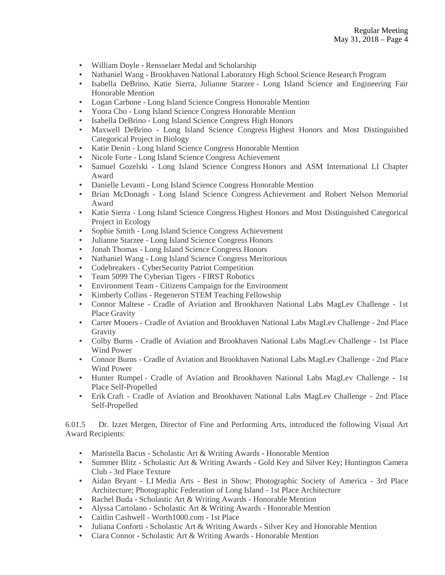- William Doyle Rensselaer Medal and Scholarship
- Nathaniel Wang Brookhaven National Laboratory High School Science Research Program
- Isabella DeBrino, Katie Sierra, Julianne Starzee Long Island Science and Engineering Fair Honorable Mention
- Logan Carbone Long Island Science Congress Honorable Mention
- Yoora Cho Long Island Science Congress Honorable Mention
- Isabella DeBrino Long Island Science Congress High Honors
- Maxwell DeBrino Long Island Science Congress Highest Honors and Most Distinguished Categorical Project in Biology
- Katie Denin Long Island Science Congress Honorable Mention
- Nicole Forte Long Island Science Congress Achievement
- Samuel Gozelski Long Island Science Congress Honors and ASM International LI Chapter Award
- Danielle Levanti Long Island Science Congress Honorable Mention
- Brian McDonagh Long Island Science Congress Achievement and Robert Nelson Memorial Award
- Katie Sierra Long Island Science Congress Highest Honors and Most Distinguished Categorical Project in Ecology
- Sophie Smith Long Island Science Congress Achievement
- Julianne Starzee Long Island Science Congress Honors
- Jonah Thomas Long Island Science Congress Honors
- Nathaniel Wang Long Island Science Congress Meritorious
- Codebreakers CyberSecurity Patriot Competition
- Team 5099 The Cyberian Tigers FIRST Robotics
- Environment Team Citizens Campaign for the Environment
- Kimberly Collins Regeneron STEM Teaching Fellowship
- Connor Maltese Cradle of Aviation and Brookhaven National Labs MagLev Challenge 1st Place Gravity
- Carter Mooers Cradle of Aviation and Brookhaven National Labs MagLev Challenge 2nd Place Gravity
- Colby Burns Cradle of Aviation and Brookhaven National Labs MagLev Challenge 1st Place Wind Power
- Connor Burns Cradle of Aviation and Brookhaven National Labs MagLev Challenge 2nd Place Wind Power
- Hunter Rumpel Cradle of Aviation and Brookhaven National Labs MagLev Challenge 1st Place Self-Propelled
- Erik Craft Cradle of Aviation and Brookhaven National Labs MagLev Challenge 2nd Place Self-Propelled

6.01.5 Dr. Izzet Mergen, Director of Fine and Performing Arts, introduced the following Visual Art Award Recipients:

- Maristella Bacus Scholastic Art & Writing Awards Honorable Mention
- Summer Blitz Scholastic Art & Writing Awards Gold Key and Silver Key; Huntington Camera Club - 3rd Place Texture
- Aidan Bryant LI Media Arts Best in Show; Photographic Society of America 3rd Place Architecture; Photographic Federation of Long Island - 1st Place Architecture
- Rachel Buda Scholastic Art & Writing Awards Honorable Mention
- Alyssa Cartolano Scholastic Art & Writing Awards Honorable Mention
- Caitlin Cashwell Worth1000.com 1st Place
- Juliana Conforti Scholastic Art & Writing Awards Silver Key and Honorable Mention
- Ciara Connor Scholastic Art & Writing Awards Honorable Mention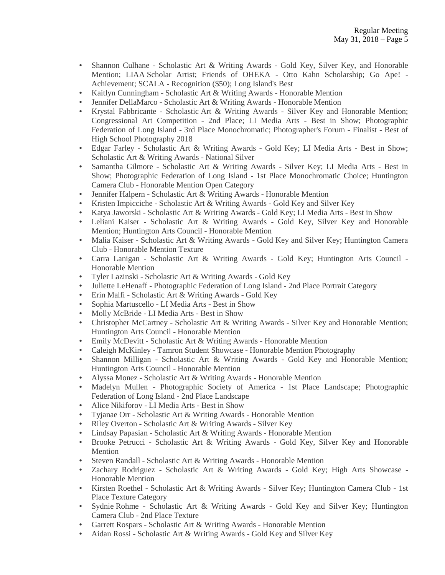- Shannon Culhane Scholastic Art & Writing Awards Gold Key, Silver Key, and Honorable Mention; LIAA Scholar Artist; Friends of OHEKA - Otto Kahn Scholarship; Go Ape! - Achievement; SCALA - Recognition (\$50); Long Island's Best
- Kaitlyn Cunningham Scholastic Art & Writing Awards Honorable Mention
- Jennifer DellaMarco Scholastic Art & Writing Awards Honorable Mention
- Krystal Fabbricante Scholastic Art & Writing Awards Silver Key and Honorable Mention; Congressional Art Competition - 2nd Place; LI Media Arts - Best in Show; Photographic Federation of Long Island - 3rd Place Monochromatic; Photographer's Forum - Finalist - Best of High School Photography 2018
- Edgar Farley Scholastic Art & Writing Awards Gold Key; LI Media Arts Best in Show; Scholastic Art & Writing Awards - National Silver
- Samantha Gilmore Scholastic Art & Writing Awards Silver Key; LI Media Arts Best in Show; Photographic Federation of Long Island - 1st Place Monochromatic Choice; Huntington Camera Club - Honorable Mention Open Category
- Jennifer Halpern Scholastic Art & Writing Awards Honorable Mention
- Kristen Impicciche Scholastic Art & Writing Awards Gold Key and Silver Key
- Katya Jaworski Scholastic Art & Writing Awards Gold Key; LI Media Arts Best in Show
- Leliani Kaiser Scholastic Art & Writing Awards Gold Key, Silver Key and Honorable Mention; Huntington Arts Council - Honorable Mention
- Malia Kaiser Scholastic Art & Writing Awards Gold Key and Silver Key; Huntington Camera Club - Honorable Mention Texture
- Carra Lanigan Scholastic Art & Writing Awards Gold Key; Huntington Arts Council Honorable Mention
- Tyler Lazinski Scholastic Art & Writing Awards Gold Key
- Juliette LeHenaff Photographic Federation of Long Island 2nd Place Portrait Category
- Erin Malfi Scholastic Art & Writing Awards Gold Key
- Sophia Martuscello LI Media Arts Best in Show
- Molly McBride LI Media Arts Best in Show
- Christopher McCartney Scholastic Art & Writing Awards Silver Key and Honorable Mention; Huntington Arts Council - Honorable Mention
- Emily McDevitt Scholastic Art & Writing Awards Honorable Mention
- Caleigh McKinley Tamron Student Showcase Honorable Mention Photography
- Shannon Milligan Scholastic Art & Writing Awards Gold Key and Honorable Mention; Huntington Arts Council - Honorable Mention
- Alyssa Monez Scholastic Art & Writing Awards Honorable Mention
- Madelyn Mullen Photographic Society of America 1st Place Landscape; Photographic Federation of Long Island - 2nd Place Landscape
- Alice Nikiforov LI Media Arts Best in Show
- Tyjanae Orr Scholastic Art & Writing Awards Honorable Mention
- Riley Overton Scholastic Art & Writing Awards Silver Key
- Lindsay Papasian Scholastic Art & Writing Awards Honorable Mention
- Brooke Petrucci Scholastic Art & Writing Awards Gold Key, Silver Key and Honorable Mention
- Steven Randall Scholastic Art & Writing Awards Honorable Mention
- Zachary Rodriguez Scholastic Art & Writing Awards Gold Key; High Arts Showcase Honorable Mention
- Kirsten Roethel Scholastic Art & Writing Awards Silver Key; Huntington Camera Club 1st Place Texture Category
- Sydnie Rohme Scholastic Art & Writing Awards Gold Key and Silver Key; Huntington Camera Club - 2nd Place Texture
- Garrett Rospars Scholastic Art & Writing Awards Honorable Mention
- Aidan Rossi Scholastic Art & Writing Awards Gold Key and Silver Key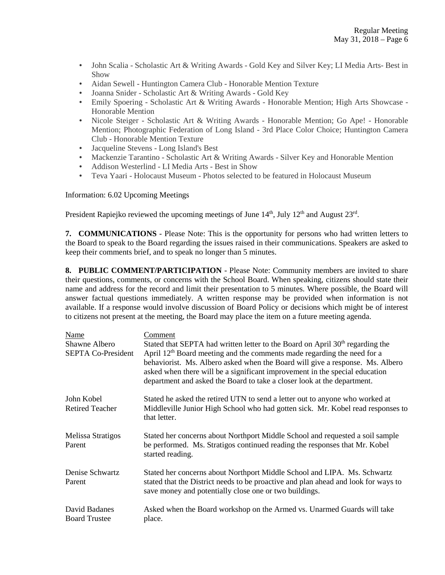- John Scalia Scholastic Art & Writing Awards Gold Key and Silver Key; LI Media Arts- Best in Show
- Aidan Sewell Huntington Camera Club Honorable Mention Texture
- Joanna Snider Scholastic Art & Writing Awards Gold Key
- Emily Spoering Scholastic Art & Writing Awards Honorable Mention; High Arts Showcase -Honorable Mention
- Nicole Steiger Scholastic Art & Writing Awards Honorable Mention; Go Ape! Honorable Mention; Photographic Federation of Long Island - 3rd Place Color Choice; Huntington Camera Club - Honorable Mention Texture
- Jacqueline Stevens Long Island's Best
- Mackenzie Tarantino Scholastic Art & Writing Awards Silver Key and Honorable Mention
- Addison Westerlind LI Media Arts Best in Show
- Teva Yaari Holocaust Museum Photos selected to be featured in Holocaust Museum

Information: 6.02 Upcoming Meetings

President Rapiejko reviewed the upcoming meetings of June 14<sup>th</sup>, July 12<sup>th</sup> and August 23<sup>rd</sup>.

**7. COMMUNICATIONS** - Please Note: This is the opportunity for persons who had written letters to the Board to speak to the Board regarding the issues raised in their communications. Speakers are asked to keep their comments brief, and to speak no longer than 5 minutes.

**8. PUBLIC COMMENT/PARTICIPATION** - Please Note: Community members are invited to share their questions, comments, or concerns with the School Board. When speaking, citizens should state their name and address for the record and limit their presentation to 5 minutes. Where possible, the Board will answer factual questions immediately. A written response may be provided when information is not available. If a response would involve discussion of Board Policy or decisions which might be of interest to citizens not present at the meeting, the Board may place the item on a future meeting agenda.

| Name                                  | Comment                                                                                                                                                                                                                                                                                                                        |
|---------------------------------------|--------------------------------------------------------------------------------------------------------------------------------------------------------------------------------------------------------------------------------------------------------------------------------------------------------------------------------|
| Shawne Albero                         | Stated that SEPTA had written letter to the Board on April 30 <sup>th</sup> regarding the                                                                                                                                                                                                                                      |
| <b>SEPTA Co-President</b>             | April 12 <sup>th</sup> Board meeting and the comments made regarding the need for a<br>behaviorist. Ms. Albero asked when the Board will give a response. Ms. Albero<br>asked when there will be a significant improvement in the special education<br>department and asked the Board to take a closer look at the department. |
| John Kobel                            | Stated he asked the retired UTN to send a letter out to anyone who worked at                                                                                                                                                                                                                                                   |
| <b>Retired Teacher</b>                | Middleville Junior High School who had gotten sick. Mr. Kobel read responses to<br>that letter.                                                                                                                                                                                                                                |
| Melissa Stratigos<br>Parent           | Stated her concerns about Northport Middle School and requested a soil sample<br>be performed. Ms. Stratigos continued reading the responses that Mr. Kobel<br>started reading.                                                                                                                                                |
| Denise Schwartz                       | Stated her concerns about Northport Middle School and LIPA. Ms. Schwartz                                                                                                                                                                                                                                                       |
| Parent                                | stated that the District needs to be proactive and plan ahead and look for ways to<br>save money and potentially close one or two buildings.                                                                                                                                                                                   |
| David Badanes<br><b>Board Trustee</b> | Asked when the Board workshop on the Armed vs. Unarmed Guards will take<br>place.                                                                                                                                                                                                                                              |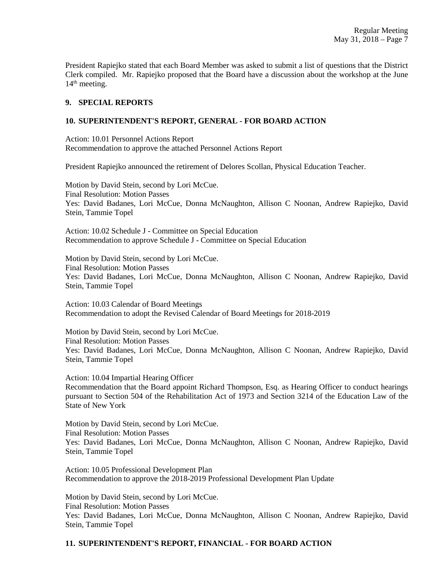President Rapiejko stated that each Board Member was asked to submit a list of questions that the District Clerk compiled. Mr. Rapiejko proposed that the Board have a discussion about the workshop at the June  $14<sup>th</sup>$  meeting.

### **9. SPECIAL REPORTS**

### **10. SUPERINTENDENT'S REPORT, GENERAL - FOR BOARD ACTION**

Action: 10.01 Personnel Actions Report Recommendation to approve the attached Personnel Actions Report

President Rapiejko announced the retirement of Delores Scollan, Physical Education Teacher.

Motion by David Stein, second by Lori McCue. Final Resolution: Motion Passes Yes: David Badanes, Lori McCue, Donna McNaughton, Allison C Noonan, Andrew Rapiejko, David Stein, Tammie Topel

Action: 10.02 Schedule J - Committee on Special Education Recommendation to approve Schedule J - Committee on Special Education

Motion by David Stein, second by Lori McCue. Final Resolution: Motion Passes Yes: David Badanes, Lori McCue, Donna McNaughton, Allison C Noonan, Andrew Rapiejko, David Stein, Tammie Topel

Action: 10.03 Calendar of Board Meetings Recommendation to adopt the Revised Calendar of Board Meetings for 2018-2019

Motion by David Stein, second by Lori McCue. Final Resolution: Motion Passes Yes: David Badanes, Lori McCue, Donna McNaughton, Allison C Noonan, Andrew Rapiejko, David Stein, Tammie Topel

Action: 10.04 Impartial Hearing Officer Recommendation that the Board appoint Richard Thompson, Esq. as Hearing Officer to conduct hearings pursuant to Section 504 of the Rehabilitation Act of 1973 and Section 3214 of the Education Law of the State of New York

Motion by David Stein, second by Lori McCue. Final Resolution: Motion Passes Yes: David Badanes, Lori McCue, Donna McNaughton, Allison C Noonan, Andrew Rapiejko, David Stein, Tammie Topel

Action: 10.05 Professional Development Plan Recommendation to approve the 2018-2019 Professional Development Plan Update

Motion by David Stein, second by Lori McCue. Final Resolution: Motion Passes Yes: David Badanes, Lori McCue, Donna McNaughton, Allison C Noonan, Andrew Rapiejko, David Stein, Tammie Topel

## **11. SUPERINTENDENT'S REPORT, FINANCIAL - FOR BOARD ACTION**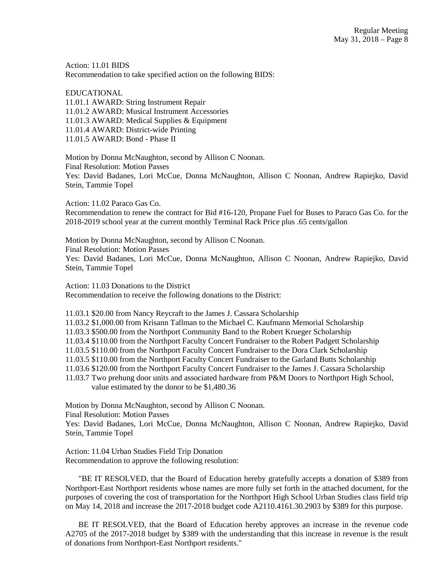Action: 11.01 BIDS Recommendation to take specified action on the following BIDS:

EDUCATIONAL 11.01.1 AWARD: String Instrument Repair 11.01.2 AWARD: Musical Instrument Accessories 11.01.3 AWARD: Medical Supplies & Equipment 11.01.4 AWARD: District-wide Printing 11.01.5 AWARD: Bond - Phase II

Motion by Donna McNaughton, second by Allison C Noonan. Final Resolution: Motion Passes Yes: David Badanes, Lori McCue, Donna McNaughton, Allison C Noonan, Andrew Rapiejko, David Stein, Tammie Topel

Action: 11.02 Paraco Gas Co. Recommendation to renew the contract for Bid #16-120, Propane Fuel for Buses to Paraco Gas Co. for the 2018-2019 school year at the current monthly Terminal Rack Price plus .65 cents/gallon

Motion by Donna McNaughton, second by Allison C Noonan. Final Resolution: Motion Passes Yes: David Badanes, Lori McCue, Donna McNaughton, Allison C Noonan, Andrew Rapiejko, David Stein, Tammie Topel

Action: 11.03 Donations to the District Recommendation to receive the following donations to the District:

11.03.1 \$20.00 from Nancy Reycraft to the James J. Cassara Scholarship

11.03.2 \$1,000.00 from Krisann Tallman to the Michael C. Kaufmann Memorial Scholarship

11.03.3 \$500.00 from the Northport Community Band to the Robert Krueger Scholarship

11.03.4 \$110.00 from the Northport Faculty Concert Fundraiser to the Robert Padgett Scholarship

11.03.5 \$110.00 from the Northport Faculty Concert Fundraiser to the Dora Clark Scholarship

11.03.5 \$110.00 from the Northport Faculty Concert Fundraiser to the Garland Butts Scholarship

11.03.6 \$120.00 from the Northport Faculty Concert Fundraiser to the James J. Cassara Scholarship

11.03.7 Two prehung door units and associated hardware from P&M Doors to Northport High School, value estimated by the donor to be \$1,480.36

Motion by Donna McNaughton, second by Allison C Noonan.

Final Resolution: Motion Passes

Yes: David Badanes, Lori McCue, Donna McNaughton, Allison C Noonan, Andrew Rapiejko, David Stein, Tammie Topel

Action: 11.04 Urban Studies Field Trip Donation Recommendation to approve the following resolution:

 "BE IT RESOLVED, that the Board of Education hereby gratefully accepts a donation of \$389 from Northport-East Northport residents whose names are more fully set forth in the attached document, for the purposes of covering the cost of transportation for the Northport High School Urban Studies class field trip on May 14, 2018 and increase the 2017-2018 budget code A2110.4161.30.2903 by \$389 for this purpose.

 BE IT RESOLVED, that the Board of Education hereby approves an increase in the revenue code A2705 of the 2017-2018 budget by \$389 with the understanding that this increase in revenue is the result of donations from Northport-East Northport residents."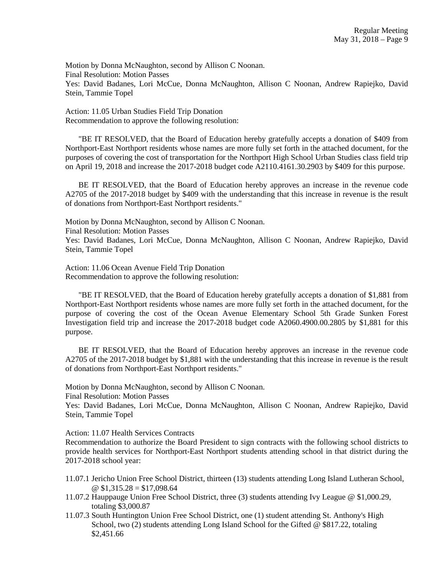Motion by Donna McNaughton, second by Allison C Noonan. Final Resolution: Motion Passes Yes: David Badanes, Lori McCue, Donna McNaughton, Allison C Noonan, Andrew Rapiejko, David Stein, Tammie Topel

Action: 11.05 Urban Studies Field Trip Donation Recommendation to approve the following resolution:

 "BE IT RESOLVED, that the Board of Education hereby gratefully accepts a donation of \$409 from Northport-East Northport residents whose names are more fully set forth in the attached document, for the purposes of covering the cost of transportation for the Northport High School Urban Studies class field trip on April 19, 2018 and increase the 2017-2018 budget code A2110.4161.30.2903 by \$409 for this purpose.

 BE IT RESOLVED, that the Board of Education hereby approves an increase in the revenue code A2705 of the 2017-2018 budget by \$409 with the understanding that this increase in revenue is the result of donations from Northport-East Northport residents."

Motion by Donna McNaughton, second by Allison C Noonan.

Final Resolution: Motion Passes

Yes: David Badanes, Lori McCue, Donna McNaughton, Allison C Noonan, Andrew Rapiejko, David Stein, Tammie Topel

Action: 11.06 Ocean Avenue Field Trip Donation Recommendation to approve the following resolution:

 "BE IT RESOLVED, that the Board of Education hereby gratefully accepts a donation of \$1,881 from Northport-East Northport residents whose names are more fully set forth in the attached document, for the purpose of covering the cost of the Ocean Avenue Elementary School 5th Grade Sunken Forest Investigation field trip and increase the 2017-2018 budget code A2060.4900.00.2805 by \$1,881 for this purpose.

 BE IT RESOLVED, that the Board of Education hereby approves an increase in the revenue code A2705 of the 2017-2018 budget by \$1,881 with the understanding that this increase in revenue is the result of donations from Northport-East Northport residents."

Motion by Donna McNaughton, second by Allison C Noonan.

Final Resolution: Motion Passes

Yes: David Badanes, Lori McCue, Donna McNaughton, Allison C Noonan, Andrew Rapiejko, David Stein, Tammie Topel

Action: 11.07 Health Services Contracts

Recommendation to authorize the Board President to sign contracts with the following school districts to provide health services for Northport-East Northport students attending school in that district during the 2017-2018 school year:

- 11.07.1 Jericho Union Free School District, thirteen (13) students attending Long Island Lutheran School,  $\omega$  \$1,315.28 = \$17,098.64
- 11.07.2 Hauppauge Union Free School District, three (3) students attending Ivy League @ \$1,000.29, totaling \$3,000.87
- 11.07.3 South Huntington Union Free School District, one (1) student attending St. Anthony's High School, two (2) students attending Long Island School for the Gifted @ \$817.22, totaling \$2,451.66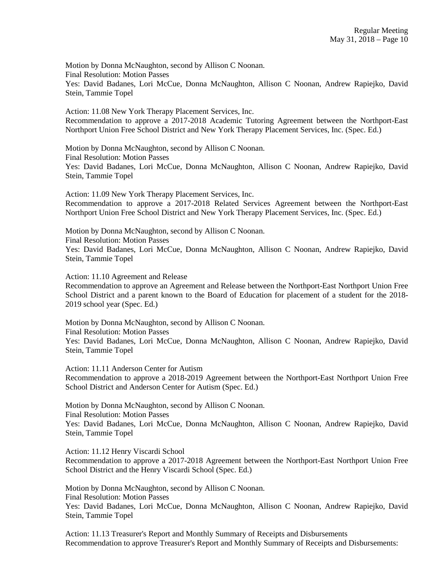Motion by Donna McNaughton, second by Allison C Noonan. Final Resolution: Motion Passes Yes: David Badanes, Lori McCue, Donna McNaughton, Allison C Noonan, Andrew Rapiejko, David

Stein, Tammie Topel

Action: 11.08 New York Therapy Placement Services, Inc. Recommendation to approve a 2017-2018 Academic Tutoring Agreement between the Northport-East Northport Union Free School District and New York Therapy Placement Services, Inc. (Spec. Ed.)

Motion by Donna McNaughton, second by Allison C Noonan. Final Resolution: Motion Passes Yes: David Badanes, Lori McCue, Donna McNaughton, Allison C Noonan, Andrew Rapiejko, David Stein, Tammie Topel

Action: 11.09 New York Therapy Placement Services, Inc. Recommendation to approve a 2017-2018 Related Services Agreement between the Northport-East Northport Union Free School District and New York Therapy Placement Services, Inc. (Spec. Ed.)

Motion by Donna McNaughton, second by Allison C Noonan. Final Resolution: Motion Passes Yes: David Badanes, Lori McCue, Donna McNaughton, Allison C Noonan, Andrew Rapiejko, David Stein, Tammie Topel

Action: 11.10 Agreement and Release

Recommendation to approve an Agreement and Release between the Northport-East Northport Union Free School District and a parent known to the Board of Education for placement of a student for the 2018- 2019 school year (Spec. Ed.)

Motion by Donna McNaughton, second by Allison C Noonan. Final Resolution: Motion Passes Yes: David Badanes, Lori McCue, Donna McNaughton, Allison C Noonan, Andrew Rapiejko, David Stein, Tammie Topel

Action: 11.11 Anderson Center for Autism

Recommendation to approve a 2018-2019 Agreement between the Northport-East Northport Union Free School District and Anderson Center for Autism (Spec. Ed.)

Motion by Donna McNaughton, second by Allison C Noonan. Final Resolution: Motion Passes Yes: David Badanes, Lori McCue, Donna McNaughton, Allison C Noonan, Andrew Rapiejko, David Stein, Tammie Topel

Action: 11.12 Henry Viscardi School

Recommendation to approve a 2017-2018 Agreement between the Northport-East Northport Union Free School District and the Henry Viscardi School (Spec. Ed.)

Motion by Donna McNaughton, second by Allison C Noonan. Final Resolution: Motion Passes Yes: David Badanes, Lori McCue, Donna McNaughton, Allison C Noonan, Andrew Rapiejko, David Stein, Tammie Topel

Action: 11.13 Treasurer's Report and Monthly Summary of Receipts and Disbursements Recommendation to approve Treasurer's Report and Monthly Summary of Receipts and Disbursements: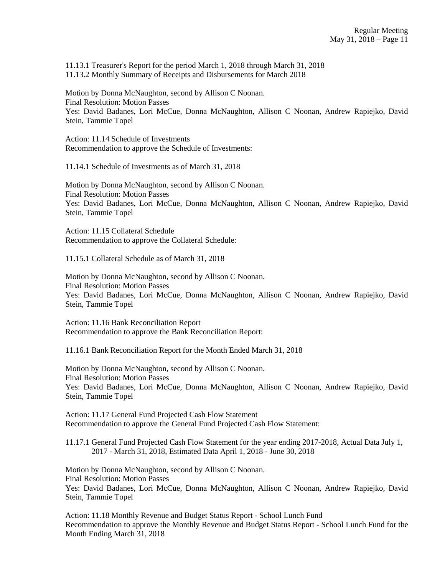11.13.1 Treasurer's Report for the period March 1, 2018 through March 31, 2018 11.13.2 Monthly Summary of Receipts and Disbursements for March 2018

Motion by Donna McNaughton, second by Allison C Noonan. Final Resolution: Motion Passes Yes: David Badanes, Lori McCue, Donna McNaughton, Allison C Noonan, Andrew Rapiejko, David Stein, Tammie Topel

Action: 11.14 Schedule of Investments Recommendation to approve the Schedule of Investments:

11.14.1 Schedule of Investments as of March 31, 2018

Motion by Donna McNaughton, second by Allison C Noonan. Final Resolution: Motion Passes Yes: David Badanes, Lori McCue, Donna McNaughton, Allison C Noonan, Andrew Rapiejko, David Stein, Tammie Topel

Action: 11.15 Collateral Schedule Recommendation to approve the Collateral Schedule:

11.15.1 Collateral Schedule as of March 31, 2018

Motion by Donna McNaughton, second by Allison C Noonan. Final Resolution: Motion Passes Yes: David Badanes, Lori McCue, Donna McNaughton, Allison C Noonan, Andrew Rapiejko, David Stein, Tammie Topel

Action: 11.16 Bank Reconciliation Report Recommendation to approve the Bank Reconciliation Report:

11.16.1 Bank Reconciliation Report for the Month Ended March 31, 2018

Motion by Donna McNaughton, second by Allison C Noonan. Final Resolution: Motion Passes Yes: David Badanes, Lori McCue, Donna McNaughton, Allison C Noonan, Andrew Rapiejko, David Stein, Tammie Topel

Action: 11.17 General Fund Projected Cash Flow Statement Recommendation to approve the General Fund Projected Cash Flow Statement:

11.17.1 General Fund Projected Cash Flow Statement for the year ending 2017-2018, Actual Data July 1, 2017 - March 31, 2018, Estimated Data April 1, 2018 - June 30, 2018

Motion by Donna McNaughton, second by Allison C Noonan. Final Resolution: Motion Passes Yes: David Badanes, Lori McCue, Donna McNaughton, Allison C Noonan, Andrew Rapiejko, David Stein, Tammie Topel

Action: 11.18 Monthly Revenue and Budget Status Report - School Lunch Fund Recommendation to approve the Monthly Revenue and Budget Status Report - School Lunch Fund for the Month Ending March 31, 2018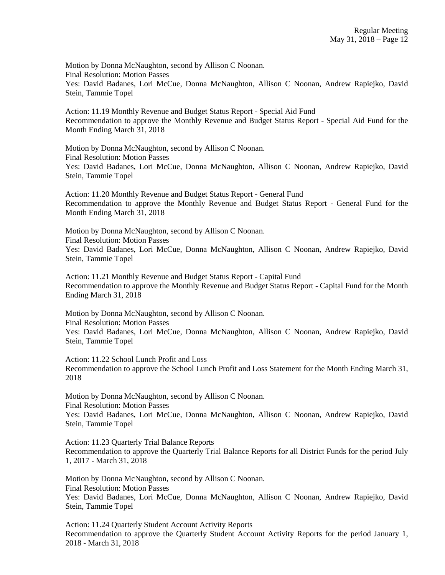Motion by Donna McNaughton, second by Allison C Noonan. Final Resolution: Motion Passes Yes: David Badanes, Lori McCue, Donna McNaughton, Allison C Noonan, Andrew Rapiejko, David Stein, Tammie Topel

Action: 11.19 Monthly Revenue and Budget Status Report - Special Aid Fund Recommendation to approve the Monthly Revenue and Budget Status Report - Special Aid Fund for the Month Ending March 31, 2018

Motion by Donna McNaughton, second by Allison C Noonan. Final Resolution: Motion Passes Yes: David Badanes, Lori McCue, Donna McNaughton, Allison C Noonan, Andrew Rapiejko, David Stein, Tammie Topel

Action: 11.20 Monthly Revenue and Budget Status Report - General Fund Recommendation to approve the Monthly Revenue and Budget Status Report - General Fund for the Month Ending March 31, 2018

Motion by Donna McNaughton, second by Allison C Noonan. Final Resolution: Motion Passes Yes: David Badanes, Lori McCue, Donna McNaughton, Allison C Noonan, Andrew Rapiejko, David Stein, Tammie Topel

Action: 11.21 Monthly Revenue and Budget Status Report - Capital Fund Recommendation to approve the Monthly Revenue and Budget Status Report - Capital Fund for the Month Ending March 31, 2018

Motion by Donna McNaughton, second by Allison C Noonan. Final Resolution: Motion Passes Yes: David Badanes, Lori McCue, Donna McNaughton, Allison C Noonan, Andrew Rapiejko, David Stein, Tammie Topel

Action: 11.22 School Lunch Profit and Loss Recommendation to approve the School Lunch Profit and Loss Statement for the Month Ending March 31, 2018

Motion by Donna McNaughton, second by Allison C Noonan. Final Resolution: Motion Passes

Yes: David Badanes, Lori McCue, Donna McNaughton, Allison C Noonan, Andrew Rapiejko, David Stein, Tammie Topel

Action: 11.23 Quarterly Trial Balance Reports Recommendation to approve the Quarterly Trial Balance Reports for all District Funds for the period July 1, 2017 - March 31, 2018

Motion by Donna McNaughton, second by Allison C Noonan. Final Resolution: Motion Passes Yes: David Badanes, Lori McCue, Donna McNaughton, Allison C Noonan, Andrew Rapiejko, David Stein, Tammie Topel

Action: 11.24 Quarterly Student Account Activity Reports Recommendation to approve the Quarterly Student Account Activity Reports for the period January 1, 2018 - March 31, 2018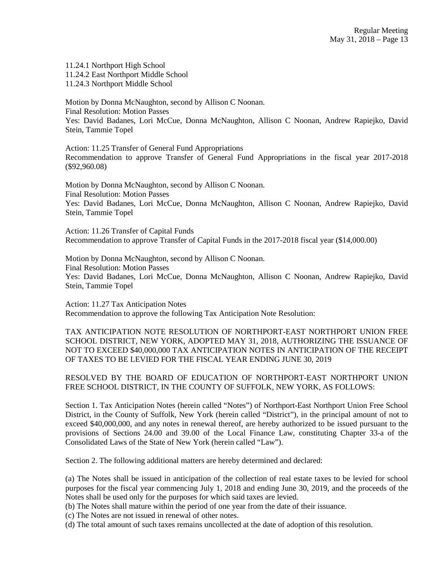11.24.1 Northport High School 11.24.2 East Northport Middle School 11.24.3 Northport Middle School

Motion by Donna McNaughton, second by Allison C Noonan. Final Resolution: Motion Passes Yes: David Badanes, Lori McCue, Donna McNaughton, Allison C Noonan, Andrew Rapiejko, David Stein, Tammie Topel

Action: 11.25 Transfer of General Fund Appropriations Recommendation to approve Transfer of General Fund Appropriations in the fiscal year 2017-2018 (\$92,960.08)

Motion by Donna McNaughton, second by Allison C Noonan. Final Resolution: Motion Passes Yes: David Badanes, Lori McCue, Donna McNaughton, Allison C Noonan, Andrew Rapiejko, David Stein, Tammie Topel

Action: 11.26 Transfer of Capital Funds Recommendation to approve Transfer of Capital Funds in the 2017-2018 fiscal year (\$14,000.00)

Motion by Donna McNaughton, second by Allison C Noonan. Final Resolution: Motion Passes Yes: David Badanes, Lori McCue, Donna McNaughton, Allison C Noonan, Andrew Rapiejko, David Stein, Tammie Topel

Action: 11.27 Tax Anticipation Notes Recommendation to approve the following Tax Anticipation Note Resolution:

TAX ANTICIPATION NOTE RESOLUTION OF NORTHPORT-EAST NORTHPORT UNION FREE SCHOOL DISTRICT, NEW YORK, ADOPTED MAY 31, 2018, AUTHORIZING THE ISSUANCE OF NOT TO EXCEED \$40,000,000 TAX ANTICIPATION NOTES IN ANTICIPATION OF THE RECEIPT OF TAXES TO BE LEVIED FOR THE FISCAL YEAR ENDING JUNE 30, 2019

RESOLVED BY THE BOARD OF EDUCATION OF NORTHPORT-EAST NORTHPORT UNION FREE SCHOOL DISTRICT, IN THE COUNTY OF SUFFOLK, NEW YORK, AS FOLLOWS:

Section 1. Tax Anticipation Notes (herein called "Notes") of Northport-East Northport Union Free School District, in the County of Suffolk, New York (herein called "District"), in the principal amount of not to exceed \$40,000,000, and any notes in renewal thereof, are hereby authorized to be issued pursuant to the provisions of Sections 24.00 and 39.00 of the Local Finance Law, constituting Chapter 33-a of the Consolidated Laws of the State of New York (herein called "Law").

Section 2. The following additional matters are hereby determined and declared:

(a) The Notes shall be issued in anticipation of the collection of real estate taxes to be levied for school purposes for the fiscal year commencing July 1, 2018 and ending June 30, 2019, and the proceeds of the Notes shall be used only for the purposes for which said taxes are levied.

(b) The Notes shall mature within the period of one year from the date of their issuance.

(c) The Notes are not issued in renewal of other notes.

(d) The total amount of such taxes remains uncollected at the date of adoption of this resolution.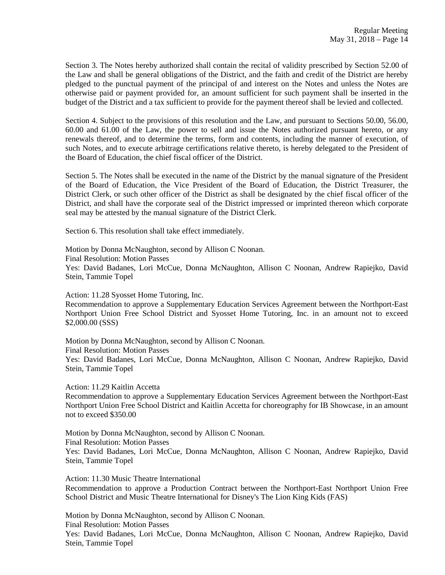Section 3. The Notes hereby authorized shall contain the recital of validity prescribed by Section 52.00 of the Law and shall be general obligations of the District, and the faith and credit of the District are hereby pledged to the punctual payment of the principal of and interest on the Notes and unless the Notes are otherwise paid or payment provided for, an amount sufficient for such payment shall be inserted in the budget of the District and a tax sufficient to provide for the payment thereof shall be levied and collected.

Section 4. Subject to the provisions of this resolution and the Law, and pursuant to Sections 50.00, 56.00, 60.00 and 61.00 of the Law, the power to sell and issue the Notes authorized pursuant hereto, or any renewals thereof, and to determine the terms, form and contents, including the manner of execution, of such Notes, and to execute arbitrage certifications relative thereto, is hereby delegated to the President of the Board of Education, the chief fiscal officer of the District.

Section 5. The Notes shall be executed in the name of the District by the manual signature of the President of the Board of Education, the Vice President of the Board of Education, the District Treasurer, the District Clerk, or such other officer of the District as shall be designated by the chief fiscal officer of the District, and shall have the corporate seal of the District impressed or imprinted thereon which corporate seal may be attested by the manual signature of the District Clerk.

Section 6. This resolution shall take effect immediately.

Motion by Donna McNaughton, second by Allison C Noonan. Final Resolution: Motion Passes Yes: David Badanes, Lori McCue, Donna McNaughton, Allison C Noonan, Andrew Rapiejko, David Stein, Tammie Topel

Action: 11.28 Syosset Home Tutoring, Inc.

Recommendation to approve a Supplementary Education Services Agreement between the Northport-East Northport Union Free School District and Syosset Home Tutoring, Inc. in an amount not to exceed \$2,000.00 (SSS)

Motion by Donna McNaughton, second by Allison C Noonan. Final Resolution: Motion Passes Yes: David Badanes, Lori McCue, Donna McNaughton, Allison C Noonan, Andrew Rapiejko, David Stein, Tammie Topel

Action: 11.29 Kaitlin Accetta

Recommendation to approve a Supplementary Education Services Agreement between the Northport-East Northport Union Free School District and Kaitlin Accetta for choreography for IB Showcase, in an amount not to exceed \$350.00

Motion by Donna McNaughton, second by Allison C Noonan. Final Resolution: Motion Passes Yes: David Badanes, Lori McCue, Donna McNaughton, Allison C Noonan, Andrew Rapiejko, David Stein, Tammie Topel

Action: 11.30 Music Theatre International Recommendation to approve a Production Contract between the Northport-East Northport Union Free School District and Music Theatre International for Disney's The Lion King Kids (FAS)

Motion by Donna McNaughton, second by Allison C Noonan. Final Resolution: Motion Passes Yes: David Badanes, Lori McCue, Donna McNaughton, Allison C Noonan, Andrew Rapiejko, David Stein, Tammie Topel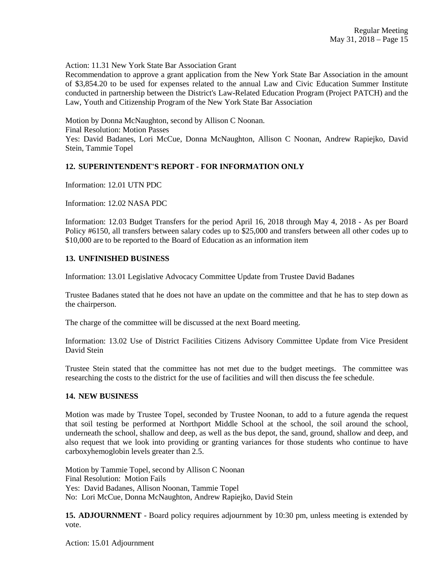Action: 11.31 New York State Bar Association Grant

Recommendation to approve a grant application from the New York State Bar Association in the amount of \$3,854.20 to be used for expenses related to the annual Law and Civic Education Summer Institute conducted in partnership between the District's Law-Related Education Program (Project PATCH) and the Law, Youth and Citizenship Program of the New York State Bar Association

Motion by Donna McNaughton, second by Allison C Noonan.

Final Resolution: Motion Passes

Yes: David Badanes, Lori McCue, Donna McNaughton, Allison C Noonan, Andrew Rapiejko, David Stein, Tammie Topel

## **12. SUPERINTENDENT'S REPORT - FOR INFORMATION ONLY**

Information: 12.01 UTN PDC

Information: 12.02 NASA PDC

Information: 12.03 Budget Transfers for the period April 16, 2018 through May 4, 2018 - As per Board Policy #6150, all transfers between salary codes up to \$25,000 and transfers between all other codes up to \$10,000 are to be reported to the Board of Education as an information item

## **13. UNFINISHED BUSINESS**

Information: 13.01 Legislative Advocacy Committee Update from Trustee David Badanes

Trustee Badanes stated that he does not have an update on the committee and that he has to step down as the chairperson.

The charge of the committee will be discussed at the next Board meeting.

Information: 13.02 Use of District Facilities Citizens Advisory Committee Update from Vice President David Stein

Trustee Stein stated that the committee has not met due to the budget meetings. The committee was researching the costs to the district for the use of facilities and will then discuss the fee schedule.

## **14. NEW BUSINESS**

Motion was made by Trustee Topel, seconded by Trustee Noonan, to add to a future agenda the request that soil testing be performed at Northport Middle School at the school, the soil around the school, underneath the school, shallow and deep, as well as the bus depot, the sand, ground, shallow and deep, and also request that we look into providing or granting variances for those students who continue to have carboxyhemoglobin levels greater than 2.5.

Motion by Tammie Topel, second by Allison C Noonan Final Resolution: Motion Fails Yes: David Badanes, Allison Noonan, Tammie Topel No: Lori McCue, Donna McNaughton, Andrew Rapiejko, David Stein

**15. ADJOURNMENT** - Board policy requires adjournment by 10:30 pm, unless meeting is extended by vote.

Action: 15.01 Adjournment